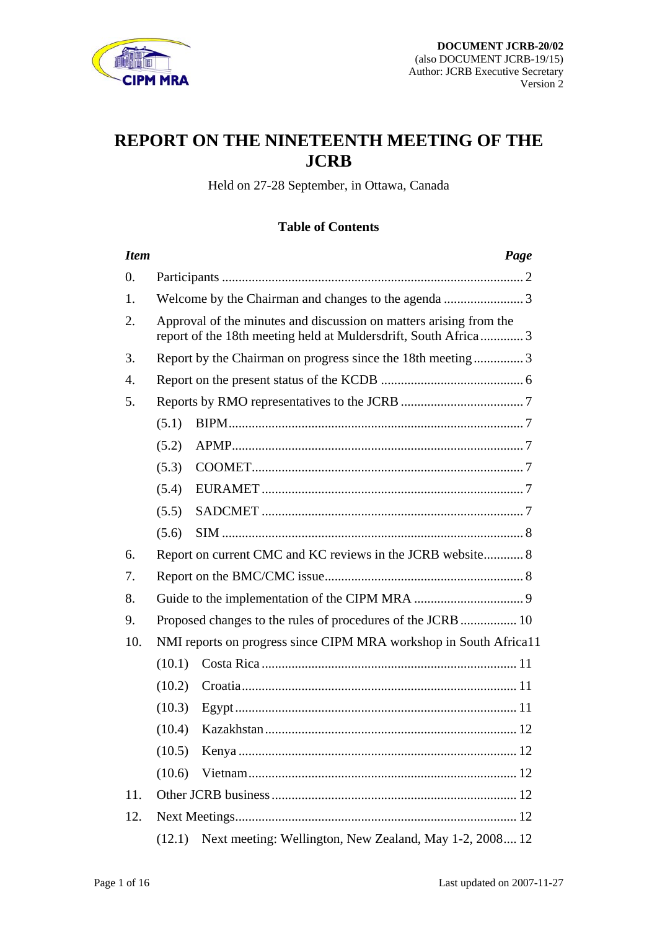

# **REPORT ON THE NINETEENTH MEETING OF THE JCRB**

Held on 27-28 September, in Ottawa, Canada

# **Table of Contents**

| <b>Item</b>      |                                                                                                                                      | Page                                                        |
|------------------|--------------------------------------------------------------------------------------------------------------------------------------|-------------------------------------------------------------|
| $\overline{0}$ . |                                                                                                                                      |                                                             |
| 1.               |                                                                                                                                      |                                                             |
| 2.               | Approval of the minutes and discussion on matters arising from the<br>report of the 18th meeting held at Muldersdrift, South Africa3 |                                                             |
| 3.               | Report by the Chairman on progress since the 18th meeting3                                                                           |                                                             |
| $\mathbf{4}$ .   |                                                                                                                                      |                                                             |
| 5.               |                                                                                                                                      |                                                             |
|                  | (5.1)                                                                                                                                |                                                             |
|                  | (5.2)                                                                                                                                |                                                             |
|                  | (5.3)                                                                                                                                |                                                             |
|                  | (5.4)                                                                                                                                |                                                             |
|                  | (5.5)                                                                                                                                |                                                             |
|                  | (5.6)                                                                                                                                |                                                             |
| 6.               |                                                                                                                                      | Report on current CMC and KC reviews in the JCRB website 8  |
| 7.               |                                                                                                                                      |                                                             |
| 8.               |                                                                                                                                      |                                                             |
| 9.               |                                                                                                                                      | Proposed changes to the rules of procedures of the JCRB  10 |
| 10.              | NMI reports on progress since CIPM MRA workshop in South Africa11                                                                    |                                                             |
|                  | (10.1)                                                                                                                               |                                                             |
|                  | (10.2)                                                                                                                               |                                                             |
|                  | (10.3)                                                                                                                               |                                                             |
|                  | (10.4)                                                                                                                               |                                                             |
|                  | (10.5)                                                                                                                               |                                                             |
|                  | (10.6)                                                                                                                               |                                                             |
| 11.              |                                                                                                                                      |                                                             |
| 12.              |                                                                                                                                      |                                                             |
|                  | (12.1)                                                                                                                               | Next meeting: Wellington, New Zealand, May 1-2, 2008 12     |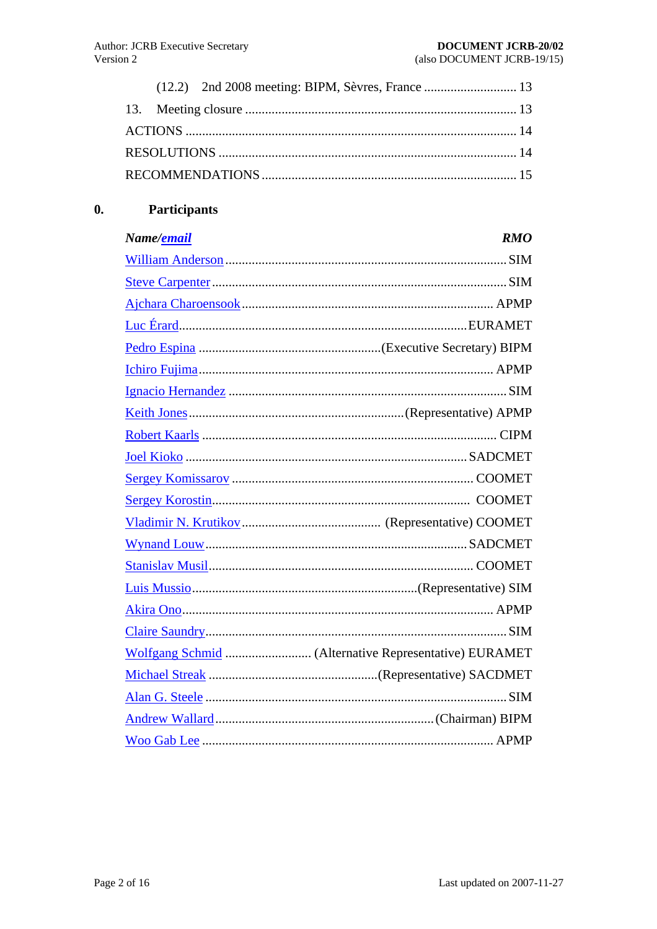<span id="page-1-0"></span>

#### **Participants**  $\mathbf{0}$ .

| Name/ <u>email</u> | <b>RMO</b> |
|--------------------|------------|
|                    |            |
|                    |            |
|                    |            |
|                    |            |
|                    |            |
|                    |            |
|                    |            |
|                    |            |
|                    |            |
|                    |            |
|                    |            |
|                    |            |
|                    |            |
|                    |            |
|                    |            |
|                    |            |
|                    |            |
|                    |            |
|                    |            |
|                    |            |
|                    |            |
|                    |            |
|                    |            |
|                    |            |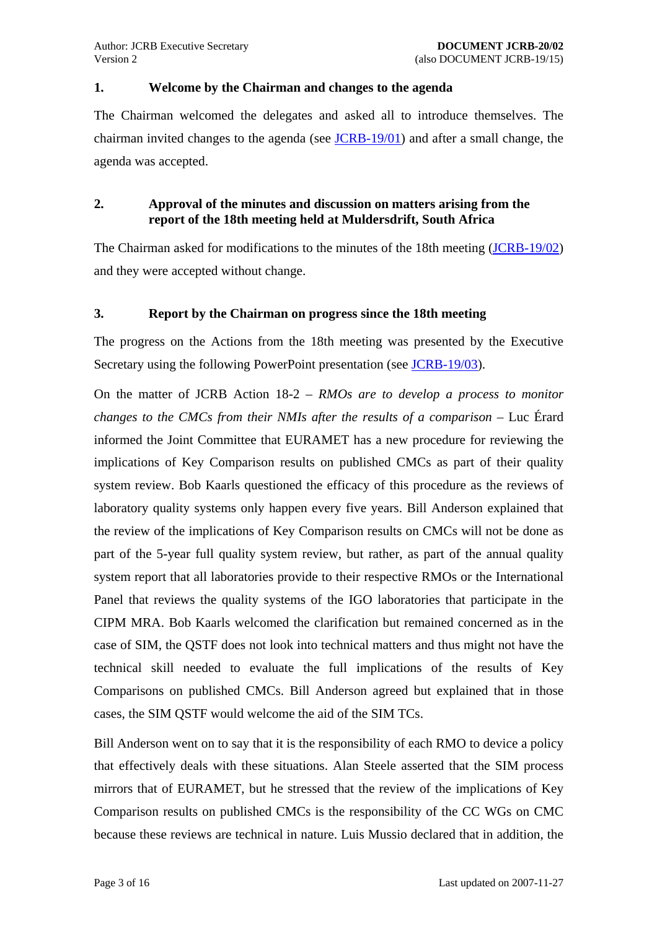#### <span id="page-2-0"></span>**1. Welcome by the Chairman and changes to the agenda**

The Chairman welcomed the delegates and asked all to introduce themselves. The chairman invited changes to the agenda (see JCRB-19/01) and after a small change, the agenda was accepted.

# **2. Approval of the minutes and discussion on matters arising from the report of the 18th meeting held at Muldersdrift, South Africa**

The Chairman asked for modifications to the minutes of the 18th meeting [\(JCRB-19/02](https://www.bipm.org/cc/JCRB/Restricted/18/18.02-17.16.Minutes.4.pdf)) and they were accepted without change.

### **3. Report by the Chairman on progress since the 18th meeting**

The progress on the Actions from the 18th meeting was presented by the Executive Secretary using the following PowerPoint presentation (see [JCRB-19/03\)](https://www.bipm.org/cc/JCRB/Restricted/18/18.03.Chairman_Report.ppt).

On the matter of JCRB Action 18-2 – *RMOs are to develop a process to monitor changes to the CMCs from their NMIs after the results of a comparison* – Luc Érard informed the Joint Committee that EURAMET has a new procedure for reviewing the implications of Key Comparison results on published CMCs as part of their quality system review. Bob Kaarls questioned the efficacy of this procedure as the reviews of laboratory quality systems only happen every five years. Bill Anderson explained that the review of the implications of Key Comparison results on CMCs will not be done as part of the 5-year full quality system review, but rather, as part of the annual quality system report that all laboratories provide to their respective RMOs or the International Panel that reviews the quality systems of the IGO laboratories that participate in the CIPM MRA. Bob Kaarls welcomed the clarification but remained concerned as in the case of SIM, the QSTF does not look into technical matters and thus might not have the technical skill needed to evaluate the full implications of the results of Key Comparisons on published CMCs. Bill Anderson agreed but explained that in those cases, the SIM QSTF would welcome the aid of the SIM TCs.

Bill Anderson went on to say that it is the responsibility of each RMO to device a policy that effectively deals with these situations. Alan Steele asserted that the SIM process mirrors that of EURAMET, but he stressed that the review of the implications of Key Comparison results on published CMCs is the responsibility of the CC WGs on CMC because these reviews are technical in nature. Luis Mussio declared that in addition, the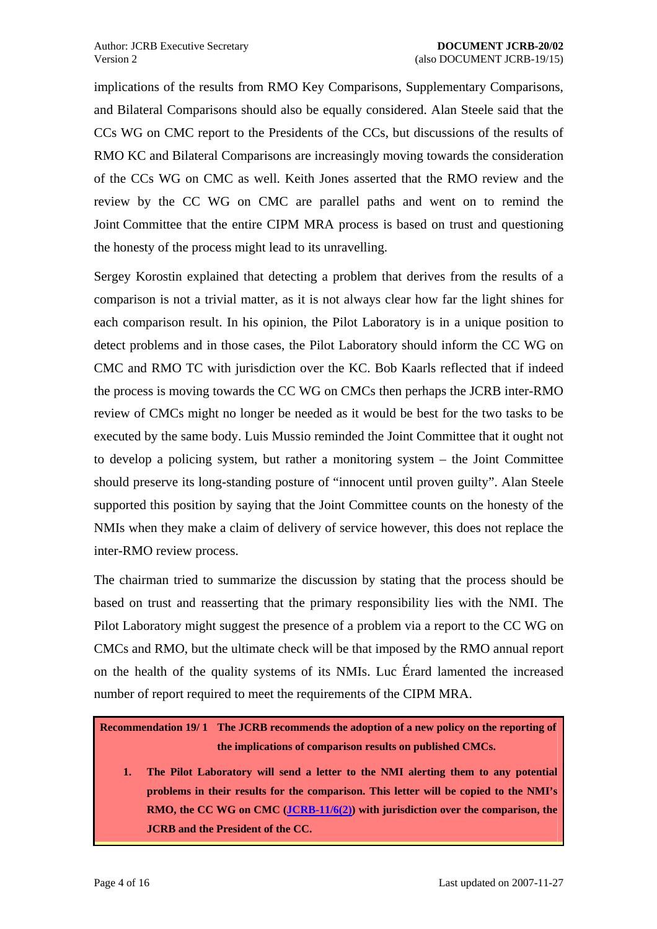<span id="page-3-1"></span>implications of the results from RMO Key Comparisons, Supplementary Comparisons, and Bilateral Comparisons should also be equally considered. Alan Steele said that the CCs WG on CMC report to the Presidents of the CCs, but discussions of the results of RMO KC and Bilateral Comparisons are increasingly moving towards the consideration of the CCs WG on CMC as well. Keith Jones asserted that the RMO review and the review by the CC WG on CMC are parallel paths and went on to remind the Joint Committee that the entire CIPM MRA process is based on trust and questioning the honesty of the process might lead to its unravelling.

Sergey Korostin explained that detecting a problem that derives from the results of a comparison is not a trivial matter, as it is not always clear how far the light shines for each comparison result. In his opinion, the Pilot Laboratory is in a unique position to detect problems and in those cases, the Pilot Laboratory should inform the CC WG on CMC and RMO TC with jurisdiction over the KC. Bob Kaarls reflected that if indeed the process is moving towards the CC WG on CMCs then perhaps the JCRB inter-RMO review of CMCs might no longer be needed as it would be best for the two tasks to be executed by the same body. Luis Mussio reminded the Joint Committee that it ought not to develop a policing system, but rather a monitoring system – the Joint Committee should preserve its long-standing posture of "innocent until proven guilty". Alan Steele supported this position by saying that the Joint Committee counts on the honesty of the NMIs when they make a claim of delivery of service however, this does not replace the inter-RMO review process.

The chairman tried to summarize the discussion by stating that the process should be based on trust and reasserting that the primary responsibility lies with the NMI. The Pilot Laboratory might suggest the presence of a problem via a report to the CC WG on CMCs and RMO, but the ultimate check will be that imposed by the RMO annual report on the health of the quality systems of its NMIs. Luc Érard lamented the increased number of report required to meet the requirements of the CIPM MRA.

# <span id="page-3-0"></span>**Recommendation 19/ 1 The JCRB recommends the adoption of a new policy on the reporting of the implications of comparison results on published CMCs.**

**1. The Pilot Laboratory will send a letter to the NMI alerting them to any potential problems in their results for the comparison. This letter will be copied to the NMI's RMO, the CC WG on CMC ([JCRB-11/6\(2\)\)](https://www.bipm.org/utils/common/documents/jcrb/working_groups_CMCs.pdf) with jurisdiction over the comparison, the JCRB and the President of the CC.**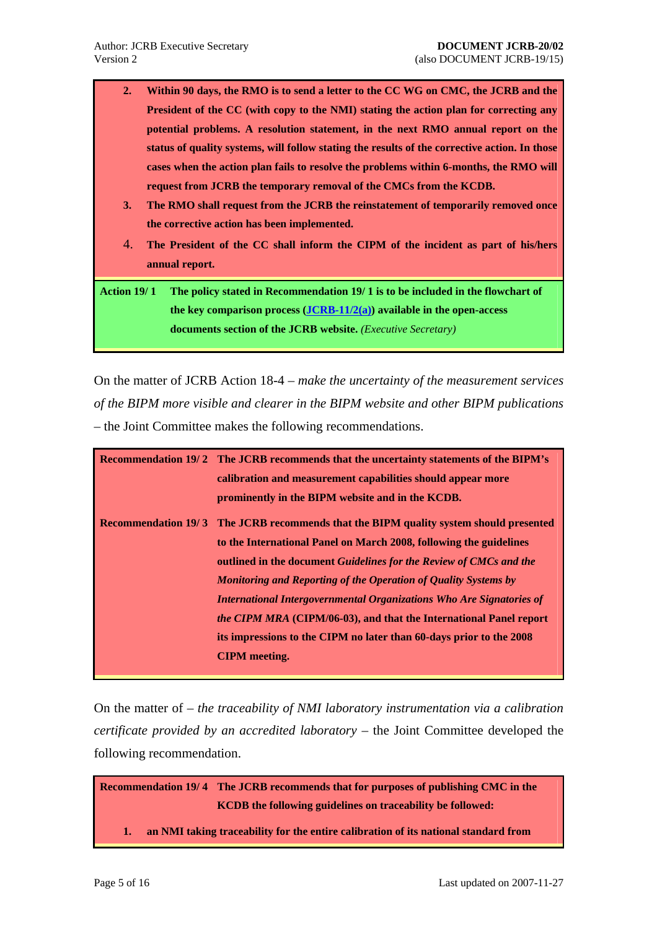- <span id="page-4-0"></span>**2. Within 90 days, the RMO is to send a letter to the CC WG on CMC, the JCRB and the President of the CC (with copy to the NMI) stating the action plan for correcting any potential problems. A resolution statement, in the next RMO annual report on the status of quality systems, will follow stating the results of the corrective action. In those cases when the action plan fails to resolve the problems within 6-months, the RMO will request from JCRB the temporary removal of the CMCs from the KCDB.**
- **3. The RMO shall request from the JCRB the reinstatement of temporarily removed once the corrective action has been implemented.**
- 4. **The President of the CC shall inform the CIPM of the incident as part of his/hers annual report.**

**Action 19/ 1 The policy stated in [Recommendation 19/ 1](#page-3-0) is to be included in the flowchart of the key comparison process ([JCRB-11/2\(a\)](https://www.bipm.org/utils/common/documents/jcrb/key_comp_flowchart.pdf)) available in the open-access documents section of the JCRB website.** *(Executive Secretary)*

On the matter of JCRB Action 18-4 – *make the uncertainty of the measurement services of the BIPM more visible and clearer in the BIPM website and other BIPM publications* – the Joint Committee makes the following recommendations.

| <b>Recommendation 19/2 The JCRB recommends that the uncertainty statements of the BIPM's</b> |
|----------------------------------------------------------------------------------------------|
| calibration and measurement capabilities should appear more                                  |
| prominently in the BIPM website and in the KCDB.                                             |
| <b>Recommendation 19/3</b> The JCRB recommends that the BIPM quality system should presented |
| to the International Panel on March 2008, following the guidelines                           |
| outlined in the document Guidelines for the Review of CMCs and the                           |
| Monitoring and Reporting of the Operation of Quality Systems by                              |
| International Intergovernmental Organizations Who Are Signatories of                         |
| the CIPM MRA (CIPM/06-03), and that the International Panel report                           |
| its impressions to the CIPM no later than 60-days prior to the 2008                          |
| <b>CIPM</b> meeting.                                                                         |

On the matter of – *the traceability of NMI laboratory instrumentation via a calibration certificate provided by an accredited laboratory* – the Joint Committee developed the following recommendation.

<span id="page-4-1"></span>**Recommendation 19/4 The JCRB recommends that for purposes of publishing CMC in the KCDB the following guidelines on traceability be followed:** 

**1. an NMI taking traceability for the entire calibration of its national standard from**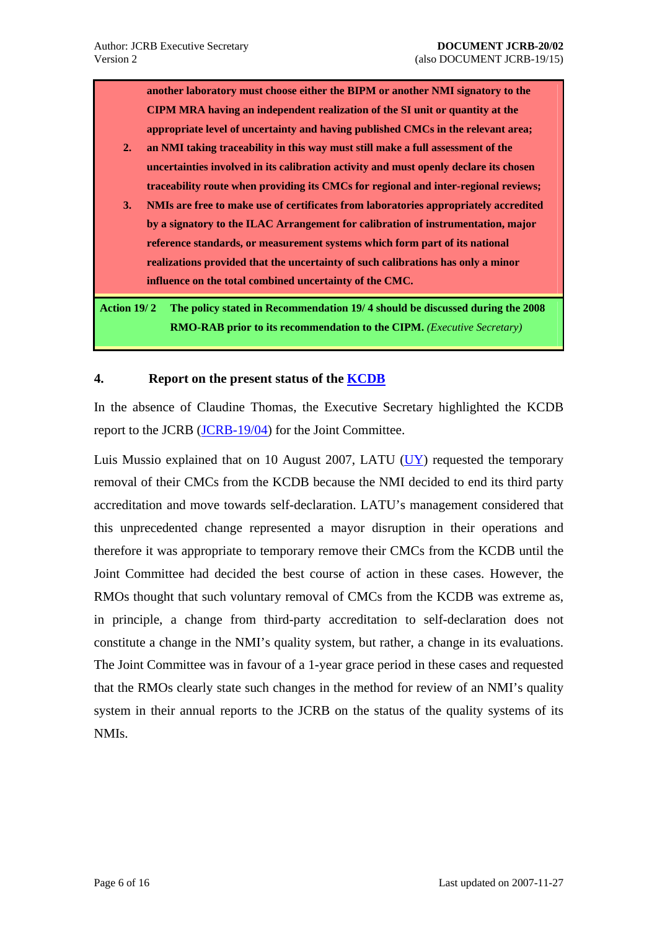<span id="page-5-0"></span>**another laboratory must choose either the BIPM or another NMI signatory to the CIPM MRA having an independent realization of the SI unit or quantity at the appropriate level of uncertainty and having published CMCs in the relevant area;** 

- **2. an NMI taking traceability in this way must still make a full assessment of the uncertainties involved in its calibration activity and must openly declare its chosen traceability route when providing its CMCs for regional and inter-regional reviews;**
- **3. NMIs are free to make use of certificates from laboratories appropriately accredited by a signatory to the ILAC Arrangement for calibration of instrumentation, major reference standards, or measurement systems which form part of its national realizations provided that the uncertainty of such calibrations has only a minor influence on the total combined uncertainty of the CMC.**

**Action 19/ 2 The policy stated in [Recommendation 19/ 4](#page-4-1) should be discussed during the 2008 RMO-RAB prior to its recommendation to the CIPM.** *(Executive Secretary)*

### **4. Report on the present status of the [KCDB](http://kcdb.bipm.org/)**

In the absence of Claudine Thomas, the Executive Secretary highlighted the KCDB report to the JCRB [\(JCRB-19/04](https://www.bipm.org/cc/JCRB/Restricted/19/19.04.KCDB_Report.pdf)) for the Joint Committee.

Luis Mussio explained that on 10 August 2007, LATU [\(UY\)](http://www.latu.org.uy/) requested the temporary removal of their CMCs from the KCDB because the NMI decided to end its third party accreditation and move towards self-declaration. LATU's management considered that this unprecedented change represented a mayor disruption in their operations and therefore it was appropriate to temporary remove their CMCs from the KCDB until the Joint Committee had decided the best course of action in these cases. However, the RMOs thought that such voluntary removal of CMCs from the KCDB was extreme as, in principle, a change from third-party accreditation to self-declaration does not constitute a change in the NMI's quality system, but rather, a change in its evaluations. The Joint Committee was in favour of a 1-year grace period in these cases and requested that the RMOs clearly state such changes in the method for review of an NMI's quality system in their annual reports to the JCRB on the status of the quality systems of its NMIs.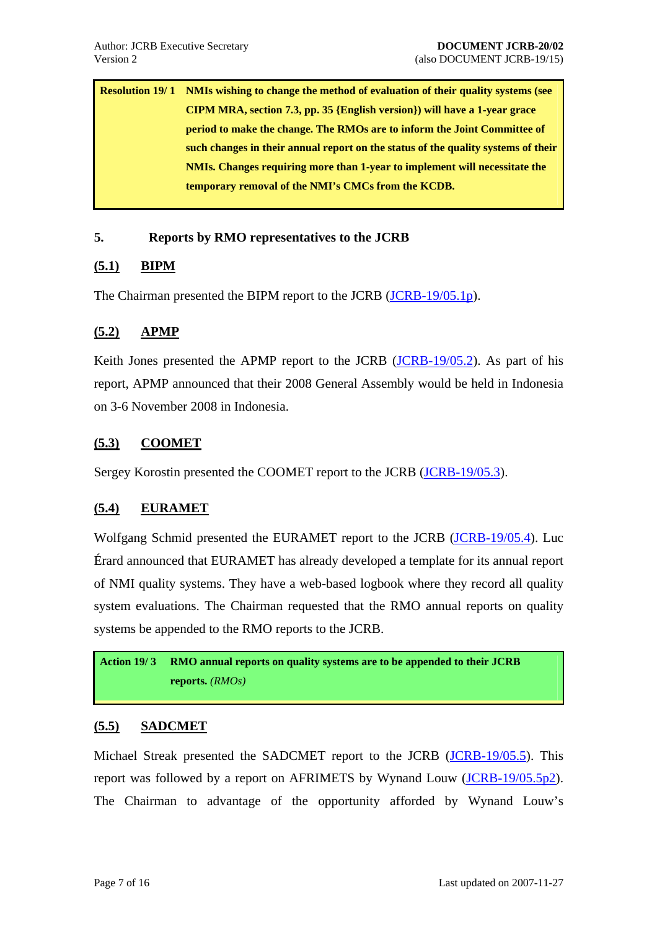<span id="page-6-0"></span>**Resolution 19/ 1 NMIs wishing to change the method of evaluation of their quality systems (see CIPM MRA, section 7.3, pp. 35 {English version}) will have a 1-year grace period to make the change. The RMOs are to inform the Joint Committee of such changes in their annual report on the status of the quality systems of their NMIs. Changes requiring more than 1-year to implement will necessitate the temporary removal of the NMI's CMCs from the KCDB.** 

### **5. Reports by RMO representatives to the JCRB**

# **(5.1) BIPM**

The Chairman presented the BIPM report to the JCRB [\(JCRB-19/05.1p](https://www.bipm.org/cc/JCRB/Restricted/19/19.05.1.BIPM_Presentation.ppt)).

# **(5.2) APMP**

Keith Jones presented the APMP report to the JCRB [\(JCRB-19/05.2](https://www.bipm.org/cc/JCRB/Restricted/19/19.05.2.APMP_Report.2.pdf)). As part of his report, APMP announced that their 2008 General Assembly would be held in Indonesia on 3-6 November 2008 in Indonesia.

# **(5.3) COOMET**

Sergey Korostin presented the COOMET report to the JCRB [\(JCRB-19/05.3](https://www.bipm.org/cc/JCRB/Restricted/19/19.05.3.COOMET_Report.pdf)).

# **(5.4) EURAMET**

Wolfgang Schmid presented the EURAMET report to the JCRB [\(JCRB-19/05.4\)](https://www.bipm.org/cc/JCRB/Restricted/19/19.05.4.EURAMET_Report.pdf). Luc Érard announced that EURAMET has already developed a template for its annual report of NMI quality systems. They have a web-based logbook where they record all quality system evaluations. The Chairman requested that the RMO annual reports on quality systems be appended to the RMO reports to the JCRB.

**Action 19/ 3 RMO annual reports on quality systems are to be appended to their JCRB reports.** *(RMOs)*

#### **(5.5) SADCMET**

Michael Streak presented the SADCMET report to the JCRB [\(JCRB-19/05.5\)](https://www.bipm.org/cc/JCRB/Restricted/19/19.05.5.SADCMET_Report.pdf). This report was followed by a report on AFRIMETS by Wynand Louw [\(JCRB-19/05.5p2](https://www.bipm.org/cc/JCRB/Restricted/19/19.05.5.AFRIMETS_Presentation.ppt)). The Chairman to advantage of the opportunity afforded by Wynand Louw's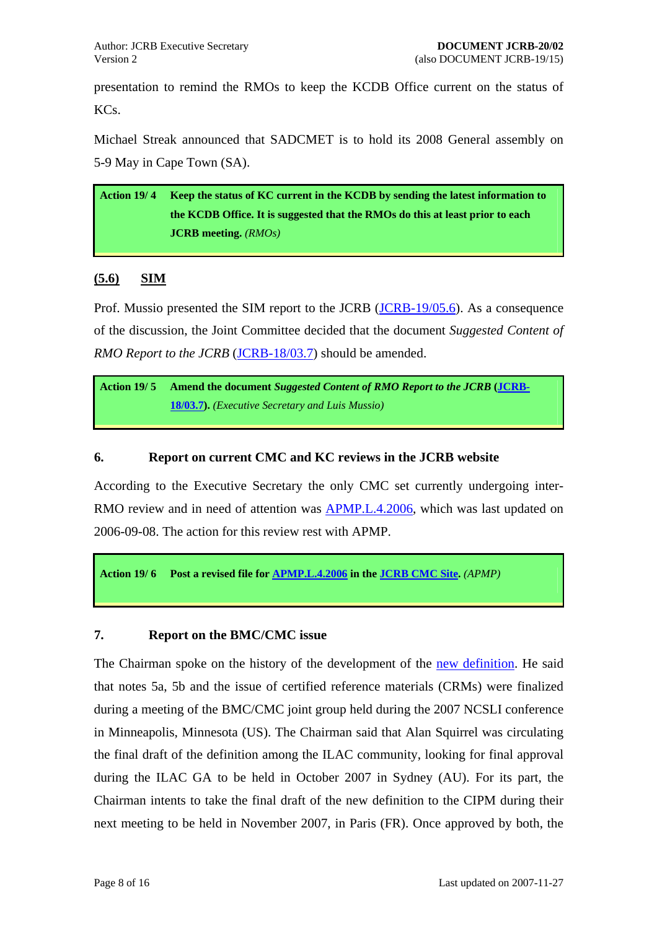<span id="page-7-0"></span>presentation to remind the RMOs to keep the KCDB Office current on the status of KCs.

Michael Streak announced that SADCMET is to hold its 2008 General assembly on 5-9 May in Cape Town (SA).

**Action 19/ 4 Keep the status of KC current in the KCDB by sending the latest information to the KCDB Office. It is suggested that the RMOs do this at least prior to each JCRB meeting.** *(RMOs)*

# **(5.6) SIM**

Prof. Mussio presented the SIM report to the JCRB ([JCRB-19/05.6\)](https://www.bipm.org/cc/JCRB/Restricted/19/19.05.6.SIM_Report.pdf). As a consequence of the discussion, the Joint Committee decided that the document *Suggested Content of RMO Report to the JCRB* (*JCRB-18/03.7*) should be amended.

**Action 19/ 5 Amend the document** *Suggested Content of RMO Report to the JCRB* **([JCRB-](https://www.bipm.org/cc/JCRB/Restricted/18/18.03.07.RMO_Report.pdf)[18/03.7\)](https://www.bipm.org/cc/JCRB/Restricted/18/18.03.07.RMO_Report.pdf).** *(Executive Secretary and Luis Mussio)*

# **6. Report on current CMC and KC reviews in the JCRB website**

According to the Executive Secretary the only CMC set currently undergoing inter-RMO review and in need of attention was **APMP.L.4.2006**, which was last updated on 2006-09-08. The action for this review rest with APMP.

**Action 19/ 6 Post a revised file for [APMP.L.4.2006](https://www.bipm.org/JCRBCMCs/ShowCMCentry.jsp?CMC=APMP.L.4.2006) in the [JCRB CMC Site.](https://www.bipm.org/JCRBCMCs/home.jsp)** *(APMP)*

#### **7. Report on the BMC/CMC issue**

The Chairman spoke on the history of the development of the [new definition.](https://www.bipm.org/cc/JCRB/Restricted/19/19.07.CMC_BMC_final_achievement_FORAPPROVAL_v6.doc) He said that notes 5a, 5b and the issue of certified reference materials (CRMs) were finalized during a meeting of the BMC/CMC joint group held during the 2007 NCSLI conference in Minneapolis, Minnesota (US). The Chairman said that Alan Squirrel was circulating the final draft of the definition among the ILAC community, looking for final approval during the ILAC GA to be held in October 2007 in Sydney (AU). For its part, the Chairman intents to take the final draft of the new definition to the CIPM during their next meeting to be held in November 2007, in Paris (FR). Once approved by both, the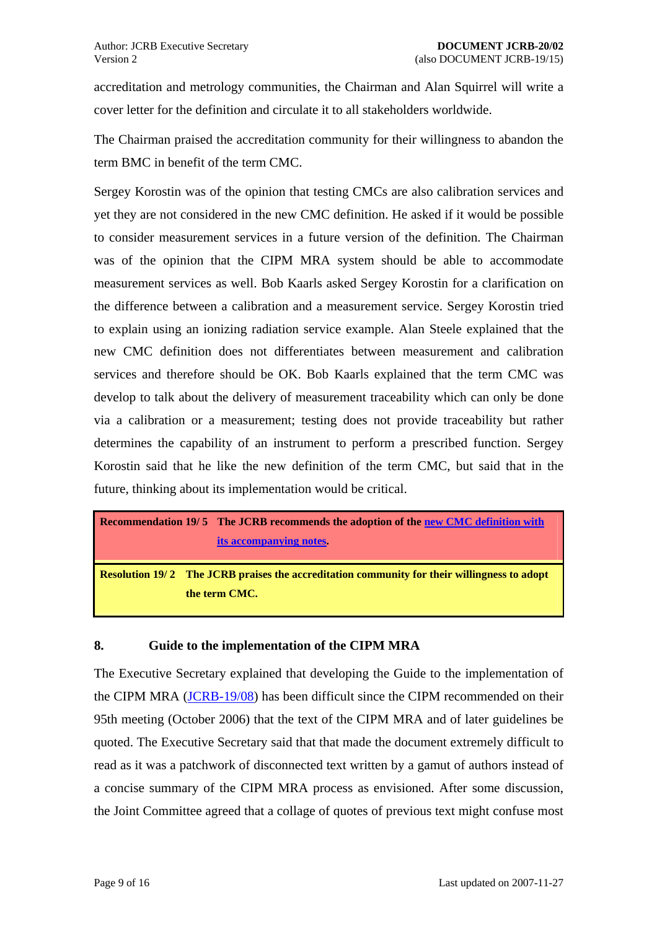<span id="page-8-0"></span>accreditation and metrology communities, the Chairman and Alan Squirrel will write a cover letter for the definition and circulate it to all stakeholders worldwide.

The Chairman praised the accreditation community for their willingness to abandon the term BMC in benefit of the term CMC.

Sergey Korostin was of the opinion that testing CMCs are also calibration services and yet they are not considered in the new CMC definition. He asked if it would be possible to consider measurement services in a future version of the definition. The Chairman was of the opinion that the CIPM MRA system should be able to accommodate measurement services as well. Bob Kaarls asked Sergey Korostin for a clarification on the difference between a calibration and a measurement service. Sergey Korostin tried to explain using an ionizing radiation service example. Alan Steele explained that the new CMC definition does not differentiates between measurement and calibration services and therefore should be OK. Bob Kaarls explained that the term CMC was develop to talk about the delivery of measurement traceability which can only be done via a calibration or a measurement; testing does not provide traceability but rather determines the capability of an instrument to perform a prescribed function. Sergey Korostin said that he like the new definition of the term CMC, but said that in the future, thinking about its implementation would be critical.

```
Recommendation 19/5 The JCRB recommends the adoption of the new CMC definition with
                       its accompanying notes. 
Resolution 19/2 The JCRB praises the accreditation community for their willingness to adopt
```
# **8. Guide to the implementation of the CIPM MRA**

**the term CMC.** 

The Executive Secretary explained that developing the Guide to the implementation of the CIPM MRA ([JCRB-19/08\)](https://www.bipm.org/cc/JCRB/Restricted/19/19.08.MRA_user_guide.1.doc) has been difficult since the CIPM recommended on their 95th meeting (October 2006) that the text of the CIPM MRA and of later guidelines be quoted. The Executive Secretary said that that made the document extremely difficult to read as it was a patchwork of disconnected text written by a gamut of authors instead of a concise summary of the CIPM MRA process as envisioned. After some discussion, the Joint Committee agreed that a collage of quotes of previous text might confuse most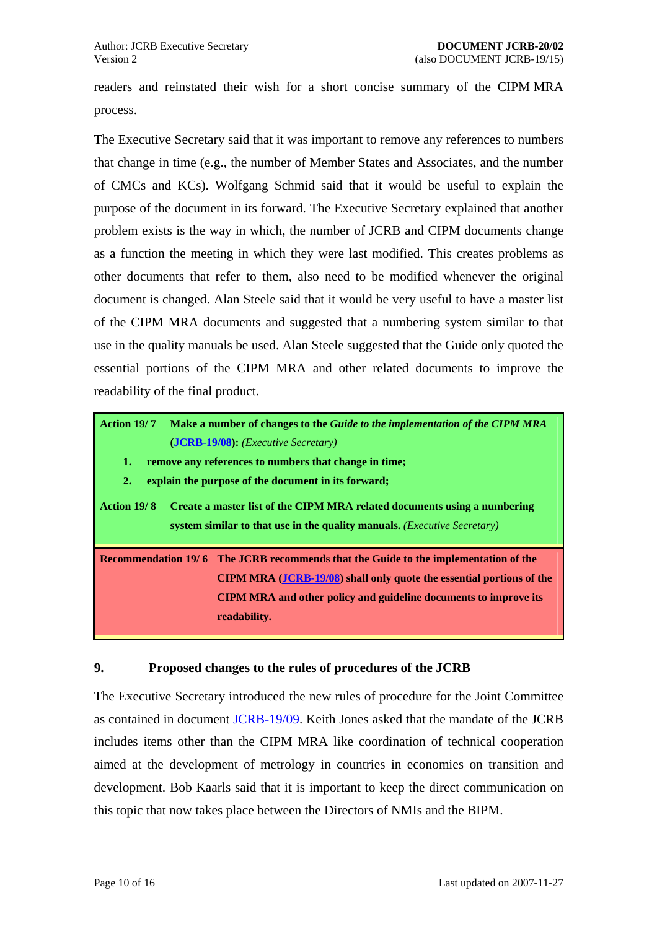<span id="page-9-0"></span>readers and reinstated their wish for a short concise summary of the CIPM MRA process.

The Executive Secretary said that it was important to remove any references to numbers that change in time (e.g., the number of Member States and Associates, and the number of CMCs and KCs). Wolfgang Schmid said that it would be useful to explain the purpose of the document in its forward. The Executive Secretary explained that another problem exists is the way in which, the number of JCRB and CIPM documents change as a function the meeting in which they were last modified. This creates problems as other documents that refer to them, also need to be modified whenever the original document is changed. Alan Steele said that it would be very useful to have a master list of the CIPM MRA documents and suggested that a numbering system similar to that use in the quality manuals be used. Alan Steele suggested that the Guide only quoted the essential portions of the CIPM MRA and other related documents to improve the readability of the final product.

**Action 19/ 7 Make a number of changes to the** *Guide to the implementation of the CIPM MRA*  **([JCRB-19/08\)](https://www.bipm.org/cc/JCRB/Restricted/19/19.08.MRA_user_guide.1.doc):** *(Executive Secretary)*

- **1. remove any references to numbers that change in time;**
- **2. explain the purpose of the document in its forward;**

**Action 19/ 8 Create a master list of the CIPM MRA related documents using a numbering system similar to that use in the quality manuals.** *(Executive Secretary)*

**Recommendation 19/6 The JCRB recommends that the Guide to the implementation of the CIPM MRA ([JCRB-19/08\)](https://www.bipm.org/cc/JCRB/Restricted/19/19.08.MRA_user_guide.1.doc) shall only quote the essential portions of the CIPM MRA and other policy and guideline documents to improve its readability.** 

#### **9. Proposed changes to the rules of procedures of the JCRB**

The Executive Secretary introduced the new rules of procedure for the Joint Committee as contained in document [JCRB-19/09](https://www.bipm.org/cc/JCRB/Restricted/19/19.09.JCRB_Rules_of_Procedure.3.doc). Keith Jones asked that the mandate of the JCRB includes items other than the CIPM MRA like coordination of technical cooperation aimed at the development of metrology in countries in economies on transition and development. Bob Kaarls said that it is important to keep the direct communication on this topic that now takes place between the Directors of NMIs and the BIPM.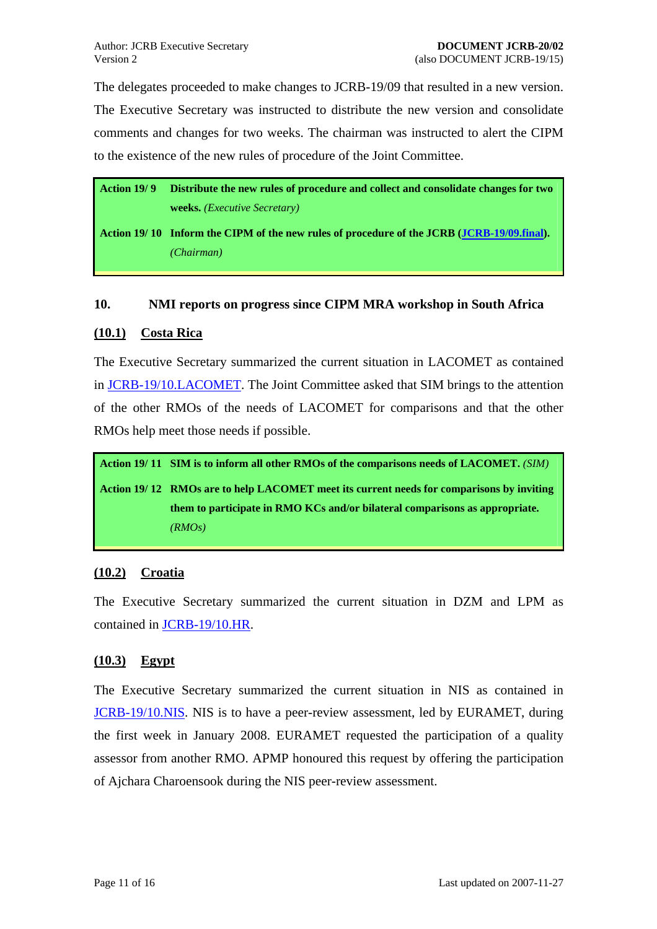<span id="page-10-0"></span>The delegates proceeded to make changes to JCRB-19/09 that resulted in a new version. The Executive Secretary was instructed to distribute the new version and consolidate comments and changes for two weeks. The chairman was instructed to alert the CIPM to the existence of the new rules of procedure of the Joint Committee.

**Action 19/ 9 Distribute the new rules of procedure and collect and consolidate changes for two weeks.** *(Executive Secretary)*

**Action 19/ 10 Inform the CIPM of the new rules of procedure of the JCRB ([JCRB-19/09.final](https://www.bipm.org/cc/JCRB/Restricted/19/19.09.JCRB_Rules_of_Procedure.5.pdf)).**  *(Chairman)*

#### **10. NMI reports on progress since CIPM MRA workshop in South Africa**

### **(10.1) Costa Rica**

The Executive Secretary summarized the current situation in LACOMET as contained in [JCRB-19/10.LACOMET](https://www.bipm.org/cc/JCRB/Restricted/19/19.10.LACOMET.CIPM_MRA_Progress_Report.pdf). The Joint Committee asked that SIM brings to the attention of the other RMOs of the needs of LACOMET for comparisons and that the other RMOs help meet those needs if possible.

**Action 19/ 11 SIM is to inform all other RMOs of the comparisons needs of LACOMET.** *(SIM)* **Action 19/ 12 RMOs are to help LACOMET meet its current needs for comparisons by inviting them to participate in RMO KCs and/or bilateral comparisons as appropriate.**  *(RMOs)*

# **(10.2) Croatia**

The Executive Secretary summarized the current situation in DZM and LPM as contained in [JCRB-19/10.HR.](https://www.bipm.org/cc/JCRB/Restricted/19/19.10.HR.CIPM_MRA_Progress_Report.ZIP)

# **(10.3) Egypt**

The Executive Secretary summarized the current situation in NIS as contained in [JCRB-19/10.NIS](https://www.bipm.org/cc/JCRB/Restricted/19/19.10.NIS.CIPM_MRA_Progress_Report.pdf). NIS is to have a peer-review assessment, led by EURAMET, during the first week in January 2008. EURAMET requested the participation of a quality assessor from another RMO. APMP honoured this request by offering the participation of Ajchara Charoensook during the NIS peer-review assessment.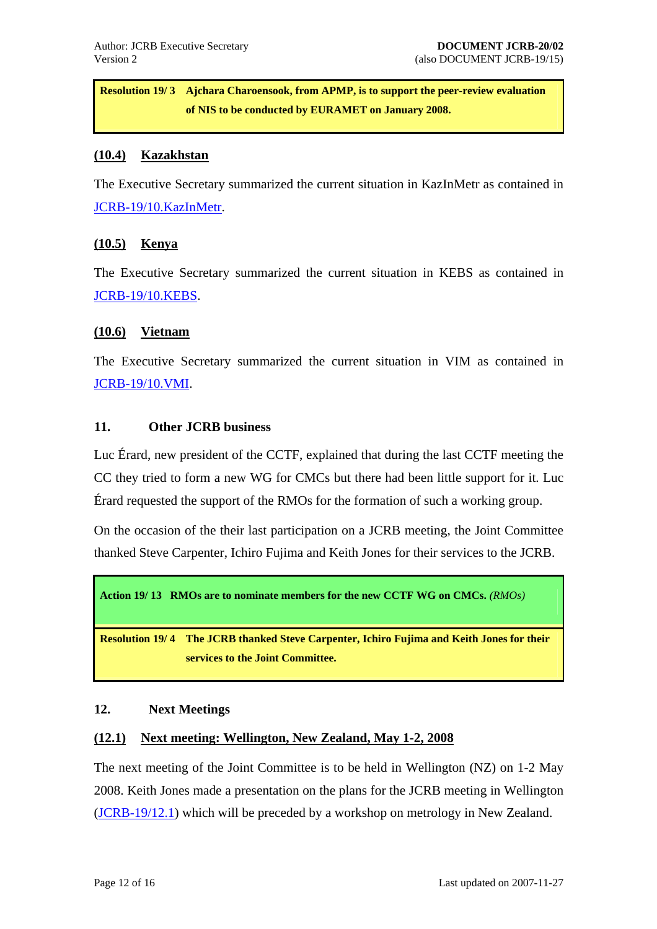<span id="page-11-0"></span>**Resolution 19/3** Ajchara Charoensook, from APMP, is to support the peer-review evaluation **of NIS to be conducted by EURAMET on January 2008.** 

#### **(10.4) Kazakhstan**

The Executive Secretary summarized the current situation in KazInMetr as contained in [JCRB-19/10.KazInMetr.](https://www.bipm.org/cc/JCRB/Restricted/19/19.10.KazInMetr.CIPM_MRA_Progress_Report.html)

### **(10.5) Kenya**

The Executive Secretary summarized the current situation in KEBS as contained in [JCRB-19/10.KEBS.](https://www.bipm.org/cc/JCRB/Restricted/19/19.10.KEBS.CIPM_MRA_Progress_Report.pdf)

#### **(10.6) Vietnam**

The Executive Secretary summarized the current situation in VIM as contained in [JCRB-19/10.VMI](https://www.bipm.org/cc/JCRB/Restricted/19/19.10.VMI.CIPM_MRA_Progress_Report.pdf).

#### **11. Other JCRB business**

Luc Érard, new president of the CCTF, explained that during the last CCTF meeting the CC they tried to form a new WG for CMCs but there had been little support for it. Luc Érard requested the support of the RMOs for the formation of such a working group.

On the occasion of the their last participation on a JCRB meeting, the Joint Committee thanked Steve Carpenter, Ichiro Fujima and Keith Jones for their services to the JCRB.

**Action 19/ 13 RMOs are to nominate members for the new CCTF WG on CMCs.** *(RMOs)*

**Resolution 19/ 4 The JCRB thanked Steve Carpenter, Ichiro Fujima and Keith Jones for their services to the Joint Committee.** 

#### **12. Next Meetings**

#### **(12.1) Next meeting: Wellington, New Zealand, May 1-2, 2008**

The next meeting of the Joint Committee is to be held in Wellington (NZ) on 1-2 May 2008. Keith Jones made a presentation on the plans for the JCRB meeting in Wellington [\(JCRB-19/12.1](https://www.bipm.org/cc/JCRB/Restricted/19/20_JCRB_April_2008.ppt)) which will be preceded by a workshop on metrology in New Zealand.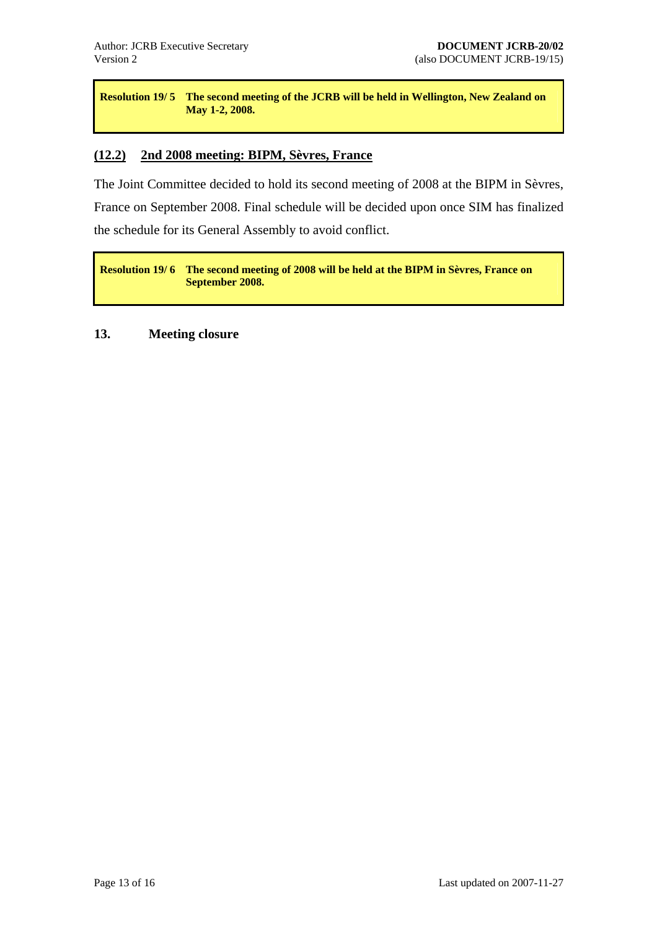<span id="page-12-0"></span>**Resolution 19/5** The second meeting of the JCRB will be held in Wellington, New Zealand on **May 1-2, 2008.** 

#### **(12.2) 2nd 2008 meeting: BIPM, Sèvres, France**

The Joint Committee decided to hold its second meeting of 2008 at the BIPM in Sèvres, France on September 2008. Final schedule will be decided upon once SIM has finalized the schedule for its General Assembly to avoid conflict.

**Resolution 19/6** The second meeting of 2008 will be held at the BIPM in Sèvres, France on **September 2008.** 

### **13. Meeting closure**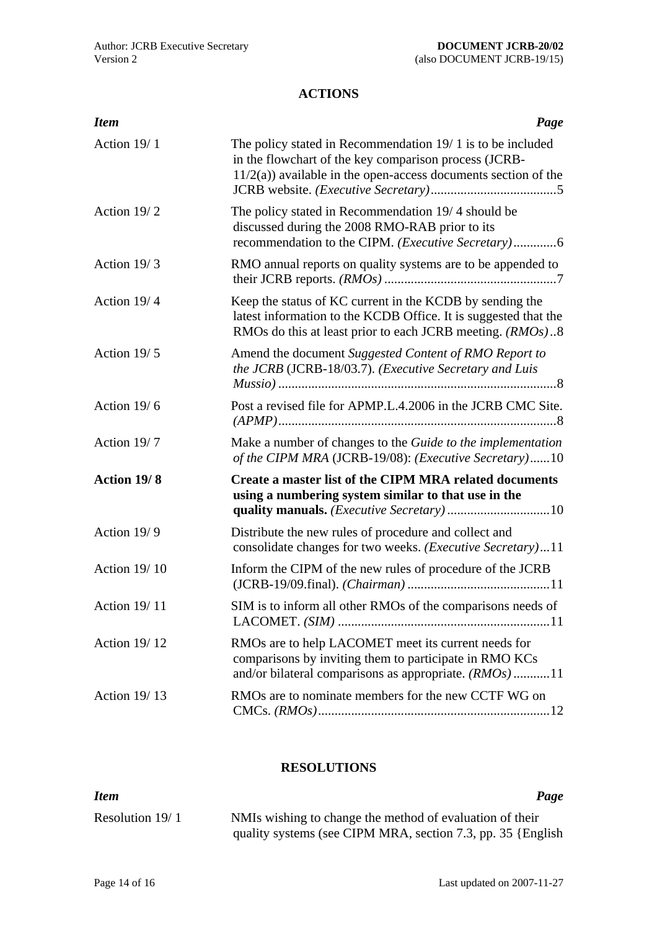# **ACTIONS**

<span id="page-13-0"></span>

| <b>Item</b>         | Page                                                                                                                                                                                       |
|---------------------|--------------------------------------------------------------------------------------------------------------------------------------------------------------------------------------------|
| Action 19/1         | The policy stated in Recommendation $19/1$ is to be included<br>in the flowchart of the key comparison process (JCRB-<br>$11/2(a)$ ) available in the open-access documents section of the |
| Action 19/2         | The policy stated in Recommendation 19/4 should be<br>discussed during the 2008 RMO-RAB prior to its<br>recommendation to the CIPM. ( <i>Executive Secretary</i> )6                        |
| Action 19/3         | RMO annual reports on quality systems are to be appended to                                                                                                                                |
| Action 19/4         | Keep the status of KC current in the KCDB by sending the<br>latest information to the KCDB Office. It is suggested that the<br>RMOs do this at least prior to each JCRB meeting. (RMOs)8   |
| Action 19/5         | Amend the document Suggested Content of RMO Report to<br>the JCRB (JCRB-18/03.7). (Executive Secretary and Luis                                                                            |
| Action 19/6         | Post a revised file for APMP.L.4.2006 in the JCRB CMC Site.                                                                                                                                |
| Action 19/7         | Make a number of changes to the Guide to the implementation<br>of the CIPM MRA (JCRB-19/08): (Executive Secretary)10                                                                       |
| Action 19/8         | Create a master list of the CIPM MRA related documents<br>using a numbering system similar to that use in the                                                                              |
| Action 19/9         | Distribute the new rules of procedure and collect and<br>consolidate changes for two weeks. ( <i>Executive Secretary</i> )11                                                               |
| <b>Action 19/10</b> | Inform the CIPM of the new rules of procedure of the JCRB                                                                                                                                  |
| <b>Action 19/11</b> | SIM is to inform all other RMOs of the comparisons needs of                                                                                                                                |
| <b>Action 19/12</b> | RMOs are to help LACOMET meet its current needs for<br>comparisons by inviting them to participate in RMO KCs<br>and/or bilateral comparisons as appropriate. $(RMOs)$ 11                  |
| <b>Action 19/13</b> | RMOs are to nominate members for the new CCTF WG on                                                                                                                                        |

#### **RESOLUTIONS**

| <b>Item</b>       | Page                                                        |
|-------------------|-------------------------------------------------------------|
| Resolution $19/1$ | NMIs wishing to change the method of evaluation of their    |
|                   | quality systems (see CIPM MRA, section 7.3, pp. 35 {English |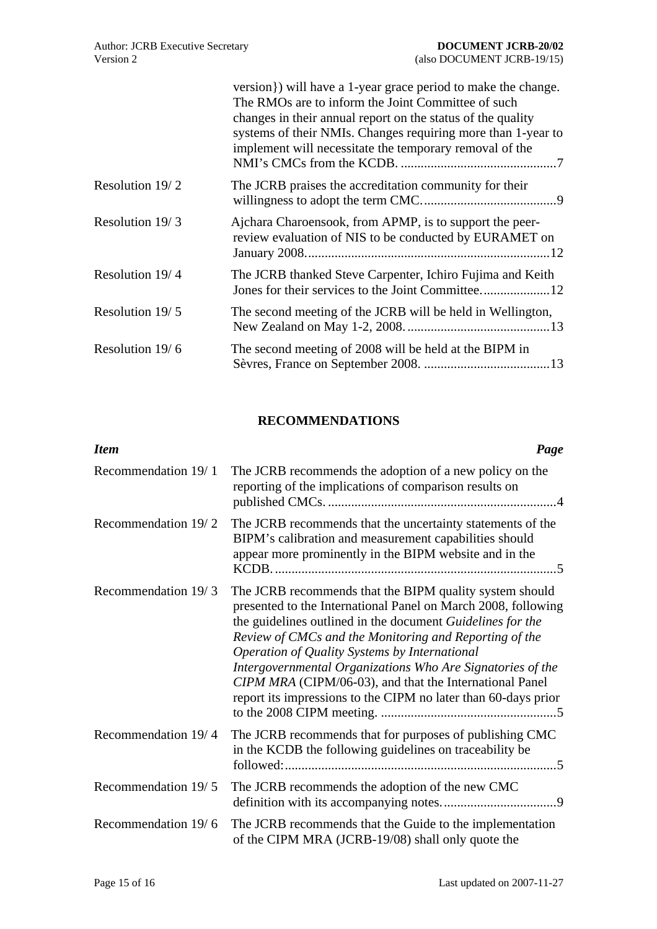<span id="page-14-0"></span>

|                 | version}) will have a 1-year grace period to make the change.<br>The RMOs are to inform the Joint Committee of such<br>changes in their annual report on the status of the quality<br>systems of their NMIs. Changes requiring more than 1-year to<br>implement will necessitate the temporary removal of the |
|-----------------|---------------------------------------------------------------------------------------------------------------------------------------------------------------------------------------------------------------------------------------------------------------------------------------------------------------|
| Resolution 19/2 | The JCRB praises the accreditation community for their                                                                                                                                                                                                                                                        |
| Resolution 19/3 | Ajchara Charoensook, from APMP, is to support the peer-<br>review evaluation of NIS to be conducted by EURAMET on                                                                                                                                                                                             |
| Resolution 19/4 | The JCRB thanked Steve Carpenter, Ichiro Fujima and Keith                                                                                                                                                                                                                                                     |
| Resolution 19/5 | The second meeting of the JCRB will be held in Wellington,                                                                                                                                                                                                                                                    |
| Resolution 19/6 | The second meeting of 2008 will be held at the BIPM in                                                                                                                                                                                                                                                        |

# **RECOMMENDATIONS**

| <b>Item</b>         | Page                                                                                                                                                                                                                                                                                                                                                                                                                                                                                         |
|---------------------|----------------------------------------------------------------------------------------------------------------------------------------------------------------------------------------------------------------------------------------------------------------------------------------------------------------------------------------------------------------------------------------------------------------------------------------------------------------------------------------------|
| Recommendation 19/1 | The JCRB recommends the adoption of a new policy on the<br>reporting of the implications of comparison results on                                                                                                                                                                                                                                                                                                                                                                            |
| Recommendation 19/2 | The JCRB recommends that the uncertainty statements of the<br>BIPM's calibration and measurement capabilities should<br>appear more prominently in the BIPM website and in the                                                                                                                                                                                                                                                                                                               |
| Recommendation 19/3 | The JCRB recommends that the BIPM quality system should<br>presented to the International Panel on March 2008, following<br>the guidelines outlined in the document Guidelines for the<br>Review of CMCs and the Monitoring and Reporting of the<br>Operation of Quality Systems by International<br>Intergovernmental Organizations Who Are Signatories of the<br>CIPM MRA (CIPM/06-03), and that the International Panel<br>report its impressions to the CIPM no later than 60-days prior |
| Recommendation 19/4 | The JCRB recommends that for purposes of publishing CMC<br>in the KCDB the following guidelines on traceability be                                                                                                                                                                                                                                                                                                                                                                           |
| Recommendation 19/5 | The JCRB recommends the adoption of the new CMC                                                                                                                                                                                                                                                                                                                                                                                                                                              |
| Recommendation 19/6 | The JCRB recommends that the Guide to the implementation<br>of the CIPM MRA (JCRB-19/08) shall only quote the                                                                                                                                                                                                                                                                                                                                                                                |